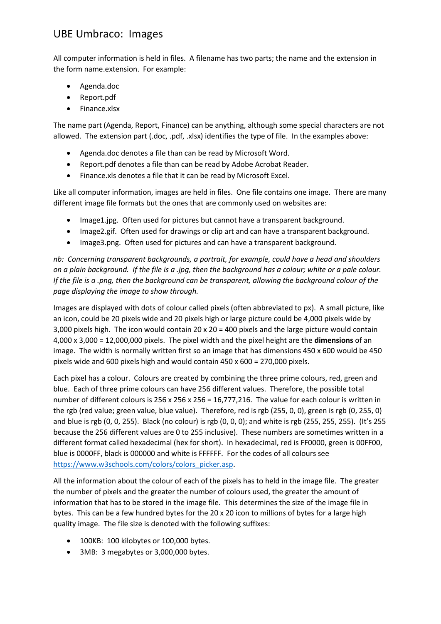## UBE Umbraco: Images

All computer information is held in files. A filename has two parts; the name and the extension in the form name.extension. For example:

- Agenda.doc
- Report.pdf
- Finance.xlsx

The name part (Agenda, Report, Finance) can be anything, although some special characters are not allowed. The extension part (.doc, .pdf, .xlsx) identifies the type of file. In the examples above:

- Agenda.doc denotes a file than can be read by Microsoft Word.
- Report.pdf denotes a file than can be read by Adobe Acrobat Reader.
- Finance.xls denotes a file that it can be read by Microsoft Excel.

Like all computer information, images are held in files. One file contains one image. There are many different image file formats but the ones that are commonly used on websites are:

- Image1.jpg. Often used for pictures but cannot have a transparent background.
- Image2.gif. Often used for drawings or clip art and can have a transparent background.
- Image3.png. Often used for pictures and can have a transparent background.

*nb: Concerning transparent backgrounds, a portrait, for example, could have a head and shoulders on a plain background. If the file is a .jpg, then the background has a colour; white or a pale colour. If the file is a .png, then the background can be transparent, allowing the background colour of the page displaying the image to show through.*

Images are displayed with dots of colour called pixels (often abbreviated to px). A small picture, like an icon, could be 20 pixels wide and 20 pixels high or large picture could be 4,000 pixels wide by 3,000 pixels high. The icon would contain 20 x 20 = 400 pixels and the large picture would contain 4,000 x 3,000 = 12,000,000 pixels. The pixel width and the pixel height are the **dimensions** of an image. The width is normally written first so an image that has dimensions 450 x 600 would be 450 pixels wide and 600 pixels high and would contain 450 x 600 = 270,000 pixels.

Each pixel has a colour. Colours are created by combining the three prime colours, red, green and blue. Each of three prime colours can have 256 different values. Therefore, the possible total number of different colours is 256 x 256 x 256 = 16,777,216. The value for each colour is written in the rgb (red value; green value, blue value). Therefore, red is rgb (255, 0, 0), green is rgb (0, 255, 0) and blue is rgb (0, 0, 255). Black (no colour) is rgb (0, 0, 0); and white is rgb (255, 255, 255). (It's 255 because the 256 different values are 0 to 255 inclusive). These numbers are sometimes written in a different format called hexadecimal (hex for short). In hexadecimal, red is FF0000, green is 00FF00, blue is 0000FF, black is 000000 and white is FFFFFF. For the codes of all colours see [https://www.w3schools.com/colors/colors\\_picker.asp.](https://www.w3schools.com/colors/colors_picker.asp)

All the information about the colour of each of the pixels has to held in the image file. The greater the number of pixels and the greater the number of colours used, the greater the amount of information that has to be stored in the image file. This determines the size of the image file in bytes. This can be a few hundred bytes for the 20 x 20 icon to millions of bytes for a large high quality image. The file size is denoted with the following suffixes:

- 100KB: 100 kilobytes or 100,000 bytes.
- 3MB: 3 megabytes or 3,000,000 bytes.